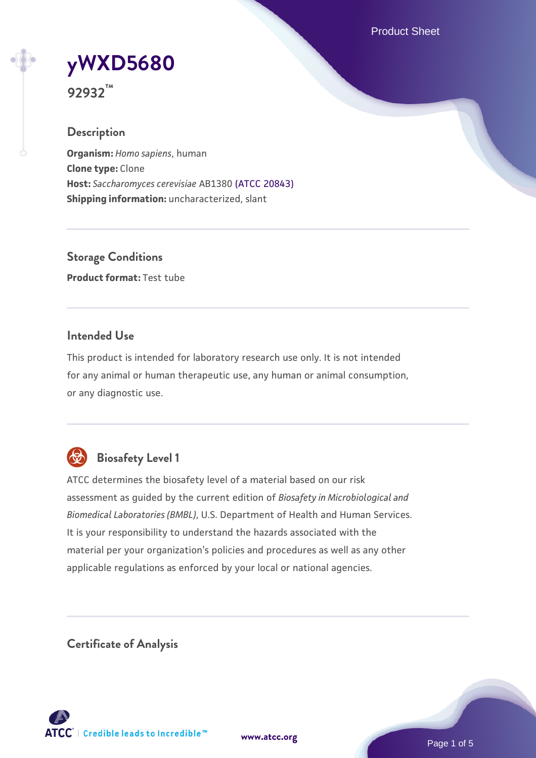Product Sheet

# **[yWXD5680](https://www.atcc.org/products/92932)**

**92932™**

## **Description**

**Organism:** *Homo sapiens*, human **Clone type:** Clone **Host:** *Saccharomyces cerevisiae* AB1380 [\(ATCC 20843\)](https://www.atcc.org/products/20843) **Shipping information:** uncharacterized, slant

**Storage Conditions Product format:** Test tube

## **Intended Use**

This product is intended for laboratory research use only. It is not intended for any animal or human therapeutic use, any human or animal consumption, or any diagnostic use.



## **Biosafety Level 1**

ATCC determines the biosafety level of a material based on our risk assessment as guided by the current edition of *Biosafety in Microbiological and Biomedical Laboratories (BMBL)*, U.S. Department of Health and Human Services. It is your responsibility to understand the hazards associated with the material per your organization's policies and procedures as well as any other applicable regulations as enforced by your local or national agencies.

**Certificate of Analysis**

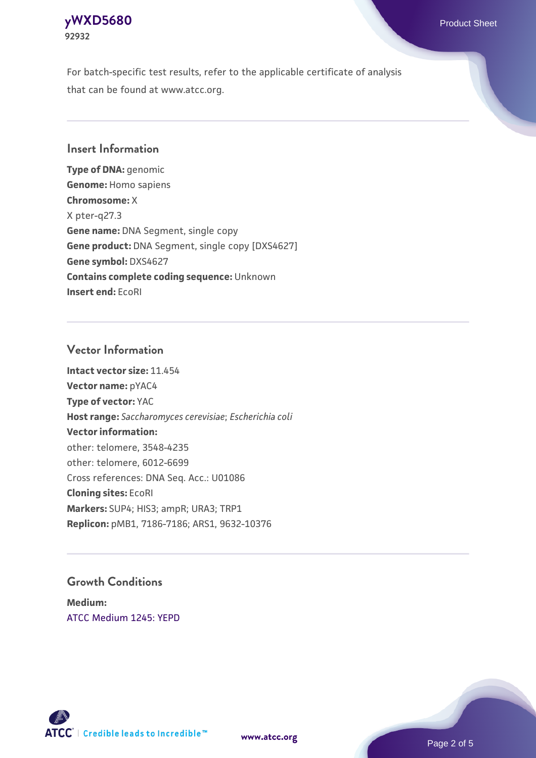#### **[yWXD5680](https://www.atcc.org/products/92932)** Product Sheet **92932**

For batch-specific test results, refer to the applicable certificate of analysis that can be found at www.atcc.org.

## **Insert Information**

**Type of DNA:** genomic **Genome:** Homo sapiens **Chromosome:** X X pter-q27.3 **Gene name:** DNA Segment, single copy **Gene product:** DNA Segment, single copy [DXS4627] **Gene symbol:** DXS4627 **Contains complete coding sequence:** Unknown **Insert end:** EcoRI

## **Vector Information**

**Intact vector size:** 11.454 **Vector name:** pYAC4 **Type of vector:** YAC **Host range:** *Saccharomyces cerevisiae*; *Escherichia coli* **Vector information:** other: telomere, 3548-4235 other: telomere, 6012-6699 Cross references: DNA Seq. Acc.: U01086 **Cloning sites:** EcoRI **Markers:** SUP4; HIS3; ampR; URA3; TRP1 **Replicon:** pMB1, 7186-7186; ARS1, 9632-10376

## **Growth Conditions**

**Medium:**  [ATCC Medium 1245: YEPD](https://www.atcc.org/-/media/product-assets/documents/microbial-media-formulations/1/2/4/5/atcc-medium-1245.pdf?rev=705ca55d1b6f490a808a965d5c072196)



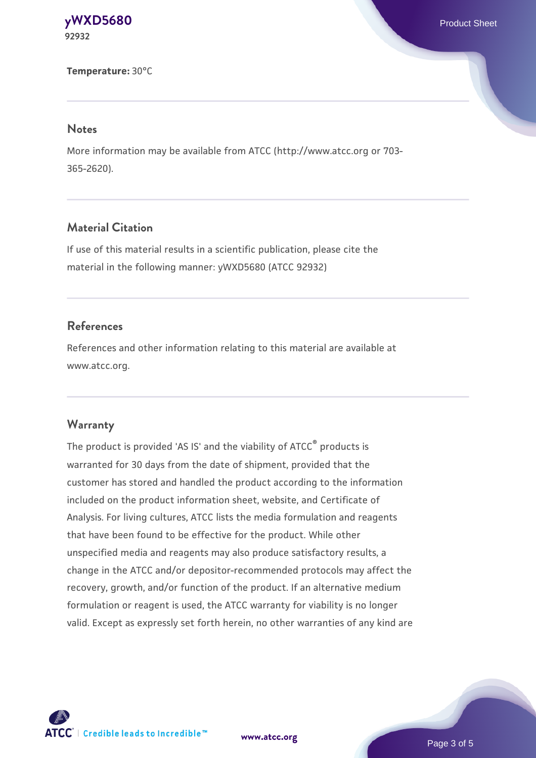#### **[yWXD5680](https://www.atcc.org/products/92932)** Product Sheet **92932**

**Temperature:** 30°C

#### **Notes**

More information may be available from ATCC (http://www.atcc.org or 703- 365-2620).

## **Material Citation**

If use of this material results in a scientific publication, please cite the material in the following manner: yWXD5680 (ATCC 92932)

## **References**

References and other information relating to this material are available at www.atcc.org.

#### **Warranty**

The product is provided 'AS IS' and the viability of ATCC® products is warranted for 30 days from the date of shipment, provided that the customer has stored and handled the product according to the information included on the product information sheet, website, and Certificate of Analysis. For living cultures, ATCC lists the media formulation and reagents that have been found to be effective for the product. While other unspecified media and reagents may also produce satisfactory results, a change in the ATCC and/or depositor-recommended protocols may affect the recovery, growth, and/or function of the product. If an alternative medium formulation or reagent is used, the ATCC warranty for viability is no longer valid. Except as expressly set forth herein, no other warranties of any kind are



**[www.atcc.org](http://www.atcc.org)**

Page 3 of 5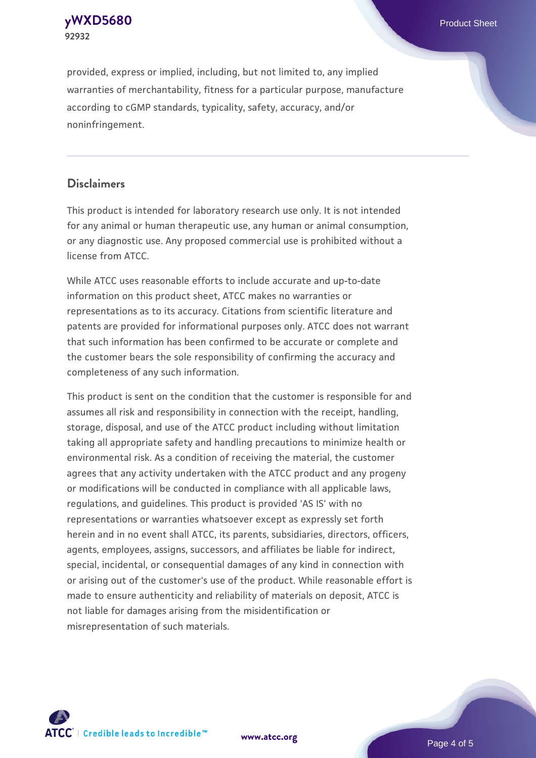**[yWXD5680](https://www.atcc.org/products/92932)** Product Sheet **92932**

provided, express or implied, including, but not limited to, any implied warranties of merchantability, fitness for a particular purpose, manufacture according to cGMP standards, typicality, safety, accuracy, and/or noninfringement.

#### **Disclaimers**

This product is intended for laboratory research use only. It is not intended for any animal or human therapeutic use, any human or animal consumption, or any diagnostic use. Any proposed commercial use is prohibited without a license from ATCC.

While ATCC uses reasonable efforts to include accurate and up-to-date information on this product sheet, ATCC makes no warranties or representations as to its accuracy. Citations from scientific literature and patents are provided for informational purposes only. ATCC does not warrant that such information has been confirmed to be accurate or complete and the customer bears the sole responsibility of confirming the accuracy and completeness of any such information.

This product is sent on the condition that the customer is responsible for and assumes all risk and responsibility in connection with the receipt, handling, storage, disposal, and use of the ATCC product including without limitation taking all appropriate safety and handling precautions to minimize health or environmental risk. As a condition of receiving the material, the customer agrees that any activity undertaken with the ATCC product and any progeny or modifications will be conducted in compliance with all applicable laws, regulations, and guidelines. This product is provided 'AS IS' with no representations or warranties whatsoever except as expressly set forth herein and in no event shall ATCC, its parents, subsidiaries, directors, officers, agents, employees, assigns, successors, and affiliates be liable for indirect, special, incidental, or consequential damages of any kind in connection with or arising out of the customer's use of the product. While reasonable effort is made to ensure authenticity and reliability of materials on deposit, ATCC is not liable for damages arising from the misidentification or misrepresentation of such materials.



**[www.atcc.org](http://www.atcc.org)**

Page 4 of 5